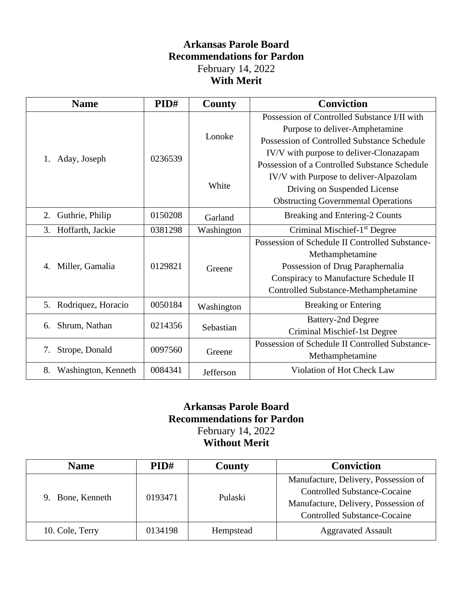### **Arkansas Parole Board Recommendations for Pardon** February 14, 2022 **With Merit**

| <b>Name</b>                     | PID#    | County     | <b>Conviction</b>                               |
|---------------------------------|---------|------------|-------------------------------------------------|
|                                 | 0236539 | Lonoke     | Possession of Controlled Substance I/II with    |
|                                 |         |            | Purpose to deliver-Amphetamine                  |
|                                 |         |            | Possession of Controlled Substance Schedule     |
| Aday, Joseph<br>1.              |         |            | IV/V with purpose to deliver-Clonazapam         |
|                                 |         | White      | Possession of a Controlled Substance Schedule   |
|                                 |         |            | IV/V with Purpose to deliver-Alpazolam          |
|                                 |         |            | Driving on Suspended License                    |
|                                 |         |            | <b>Obstructing Governmental Operations</b>      |
| Guthrie, Philip<br>2.           | 0150208 | Garland    | Breaking and Entering-2 Counts                  |
| Hoffarth, Jackie<br>3.          | 0381298 | Washington | Criminal Mischief-1 <sup>st</sup> Degree        |
| Miller, Gamalia<br>4.           | 0129821 | Greene     | Possession of Schedule II Controlled Substance- |
|                                 |         |            | Methamphetamine                                 |
|                                 |         |            | Possession of Drug Paraphernalia                |
|                                 |         |            | Conspiracy to Manufacture Schedule II           |
|                                 |         |            | Controlled Substance-Methamphetamine            |
| Rodriquez, Horacio<br>5.        | 0050184 | Washington | <b>Breaking or Entering</b>                     |
| Shrum, Nathan<br>6.             | 0214356 | Sebastian  | <b>Battery-2nd Degree</b>                       |
|                                 |         |            | Criminal Mischief-1st Degree                    |
| 0097560<br>Strope, Donald<br>7. |         | Greene     | Possession of Schedule II Controlled Substance- |
|                                 |         |            | Methamphetamine                                 |
| 8.<br>Washington, Kenneth       | 0084341 | Jefferson  | Violation of Hot Check Law                      |

#### **Arkansas Parole Board Recommendations for Pardon** February 14, 2022 **Without Merit**

| <b>Name</b>      | PID#    | County    | <b>Conviction</b>                                                                                                                                          |
|------------------|---------|-----------|------------------------------------------------------------------------------------------------------------------------------------------------------------|
| 9. Bone, Kenneth | 0193471 | Pulaski   | Manufacture, Delivery, Possession of<br><b>Controlled Substance-Cocaine</b><br>Manufacture, Delivery, Possession of<br><b>Controlled Substance-Cocaine</b> |
| 10. Cole, Terry  | 0134198 | Hempstead | <b>Aggravated Assault</b>                                                                                                                                  |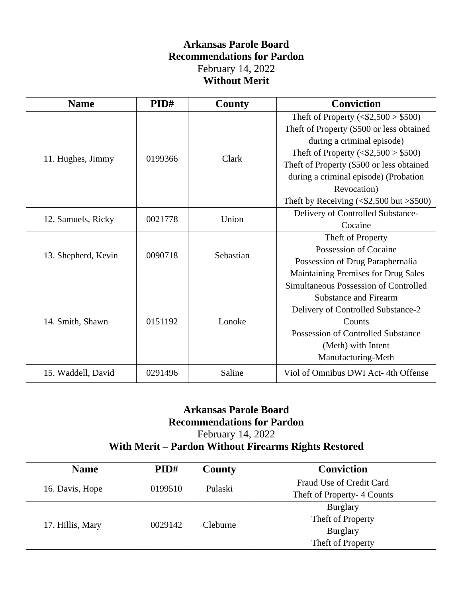### **Arkansas Parole Board Recommendations for Pardon** February 14, 2022 **Without Merit**

| <b>Name</b>         | PID#    | <b>County</b> | <b>Conviction</b>                                     |
|---------------------|---------|---------------|-------------------------------------------------------|
|                     | 0199366 | Clark         | Theft of Property $(<\frac{1}{2},500$ > \$500)        |
|                     |         |               | Theft of Property (\$500 or less obtained             |
|                     |         |               | during a criminal episode)                            |
|                     |         |               | Theft of Property ( $\langle$ \$2,500 > \$500)        |
| 11. Hughes, Jimmy   |         |               | Theft of Property (\$500 or less obtained             |
|                     |         |               | during a criminal episode) (Probation                 |
|                     |         |               | Revocation)                                           |
|                     |         |               | Theft by Receiving $(<\frac{1}{2}, 500$ but $>\$ 500) |
| 12. Samuels, Ricky  | 0021778 | Union         | Delivery of Controlled Substance-                     |
|                     |         |               | Cocaine                                               |
| 13. Shepherd, Kevin | 0090718 | Sebastian     | Theft of Property                                     |
|                     |         |               | Possession of Cocaine                                 |
|                     |         |               | Possession of Drug Paraphernalia                      |
|                     |         |               | Maintaining Premises for Drug Sales                   |
| 14. Smith, Shawn    | 0151192 | Lonoke        | Simultaneous Possession of Controlled                 |
|                     |         |               | <b>Substance and Firearm</b>                          |
|                     |         |               | Delivery of Controlled Substance-2                    |
|                     |         |               | Counts                                                |
|                     |         |               | <b>Possession of Controlled Substance</b>             |
|                     |         |               | (Meth) with Intent                                    |
|                     |         |               | Manufacturing-Meth                                    |
| 15. Waddell, David  | 0291496 | Saline        | Viol of Omnibus DWI Act-4th Offense                   |

# **Arkansas Parole Board Recommendations for Pardon**

February 14, 2022

## **With Merit – Pardon Without Firearms Rights Restored**

| <b>Name</b>      | PID#    | County   | <b>Conviction</b>           |
|------------------|---------|----------|-----------------------------|
|                  | 0199510 | Pulaski  | Fraud Use of Credit Card    |
| 16. Davis, Hope  |         |          | Theft of Property- 4 Counts |
| 17. Hillis, Mary | 0029142 | Cleburne | <b>Burglary</b>             |
|                  |         |          | Theft of Property           |
|                  |         |          | <b>Burglary</b>             |
|                  |         |          | Theft of Property           |